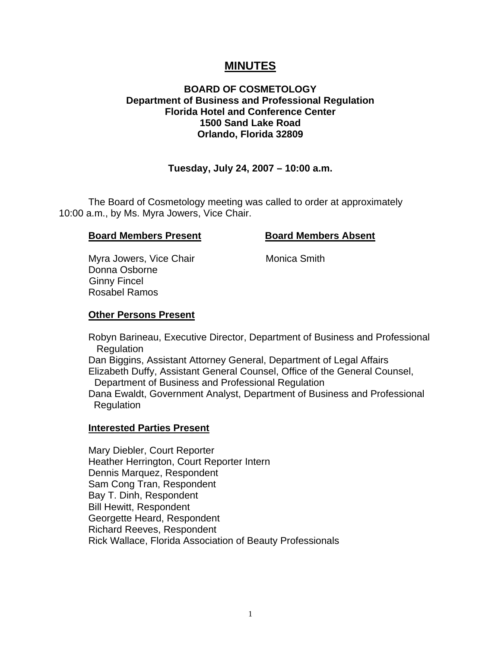# **MINUTES**

## **BOARD OF COSMETOLOGY Department of Business and Professional Regulation Florida Hotel and Conference Center 1500 Sand Lake Road Orlando, Florida 32809**

# **Tuesday, July 24, 2007 – 10:00 a.m.**

 The Board of Cosmetology meeting was called to order at approximately 10:00 a.m., by Ms. Myra Jowers, Vice Chair.

#### **Board Members Present Board Members Absent**

Myra Jowers, Vice Chair **Monica Smith**  Donna Osborne Ginny Fincel Rosabel Ramos

#### **Other Persons Present**

 Robyn Barineau, Executive Director, Department of Business and Professional **Regulation** 

 Dan Biggins, Assistant Attorney General, Department of Legal Affairs Elizabeth Duffy, Assistant General Counsel, Office of the General Counsel, Department of Business and Professional Regulation

 Dana Ewaldt, Government Analyst, Department of Business and Professional **Regulation** 

#### **Interested Parties Present**

Mary Diebler, Court Reporter Heather Herrington, Court Reporter Intern Dennis Marquez, Respondent Sam Cong Tran, Respondent Bay T. Dinh, Respondent Bill Hewitt, Respondent Georgette Heard, Respondent Richard Reeves, Respondent Rick Wallace, Florida Association of Beauty Professionals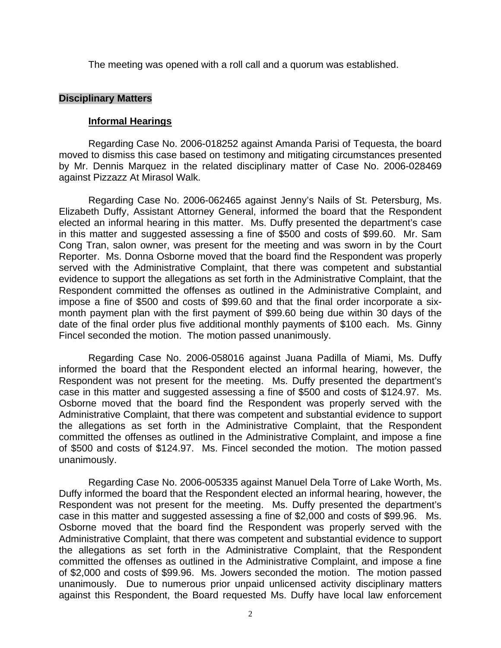The meeting was opened with a roll call and a quorum was established.

#### **Disciplinary Matters**

### **Informal Hearings**

 Regarding Case No. 2006-018252 against Amanda Parisi of Tequesta, the board moved to dismiss this case based on testimony and mitigating circumstances presented by Mr. Dennis Marquez in the related disciplinary matter of Case No. 2006-028469 against Pizzazz At Mirasol Walk.

 Regarding Case No. 2006-062465 against Jenny's Nails of St. Petersburg, Ms. Elizabeth Duffy, Assistant Attorney General, informed the board that the Respondent elected an informal hearing in this matter. Ms. Duffy presented the department's case in this matter and suggested assessing a fine of \$500 and costs of \$99.60. Mr. Sam Cong Tran, salon owner, was present for the meeting and was sworn in by the Court Reporter. Ms. Donna Osborne moved that the board find the Respondent was properly served with the Administrative Complaint, that there was competent and substantial evidence to support the allegations as set forth in the Administrative Complaint, that the Respondent committed the offenses as outlined in the Administrative Complaint, and impose a fine of \$500 and costs of \$99.60 and that the final order incorporate a sixmonth payment plan with the first payment of \$99.60 being due within 30 days of the date of the final order plus five additional monthly payments of \$100 each. Ms. Ginny Fincel seconded the motion. The motion passed unanimously.

 Regarding Case No. 2006-058016 against Juana Padilla of Miami, Ms. Duffy informed the board that the Respondent elected an informal hearing, however, the Respondent was not present for the meeting. Ms. Duffy presented the department's case in this matter and suggested assessing a fine of \$500 and costs of \$124.97. Ms. Osborne moved that the board find the Respondent was properly served with the Administrative Complaint, that there was competent and substantial evidence to support the allegations as set forth in the Administrative Complaint, that the Respondent committed the offenses as outlined in the Administrative Complaint, and impose a fine of \$500 and costs of \$124.97. Ms. Fincel seconded the motion. The motion passed unanimously.

Regarding Case No. 2006-005335 against Manuel Dela Torre of Lake Worth, Ms. Duffy informed the board that the Respondent elected an informal hearing, however, the Respondent was not present for the meeting. Ms. Duffy presented the department's case in this matter and suggested assessing a fine of \$2,000 and costs of \$99.96. Ms. Osborne moved that the board find the Respondent was properly served with the Administrative Complaint, that there was competent and substantial evidence to support the allegations as set forth in the Administrative Complaint, that the Respondent committed the offenses as outlined in the Administrative Complaint, and impose a fine of \$2,000 and costs of \$99.96. Ms. Jowers seconded the motion. The motion passed unanimously. Due to numerous prior unpaid unlicensed activity disciplinary matters against this Respondent, the Board requested Ms. Duffy have local law enforcement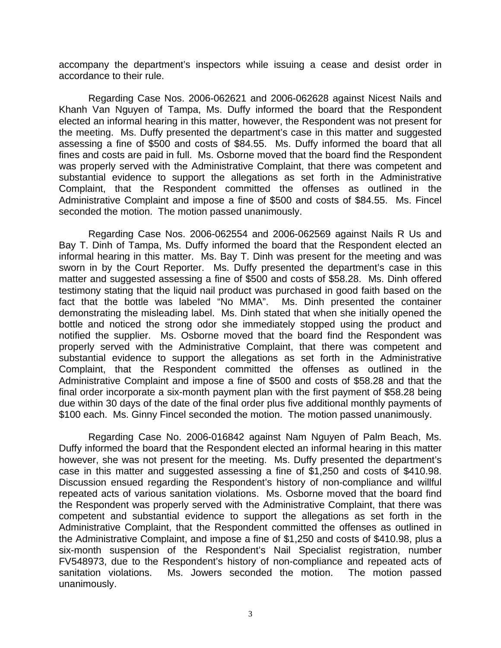accompany the department's inspectors while issuing a cease and desist order in accordance to their rule.

 Regarding Case Nos. 2006-062621 and 2006-062628 against Nicest Nails and Khanh Van Nguyen of Tampa, Ms. Duffy informed the board that the Respondent elected an informal hearing in this matter, however, the Respondent was not present for the meeting. Ms. Duffy presented the department's case in this matter and suggested assessing a fine of \$500 and costs of \$84.55. Ms. Duffy informed the board that all fines and costs are paid in full. Ms. Osborne moved that the board find the Respondent was properly served with the Administrative Complaint, that there was competent and substantial evidence to support the allegations as set forth in the Administrative Complaint, that the Respondent committed the offenses as outlined in the Administrative Complaint and impose a fine of \$500 and costs of \$84.55. Ms. Fincel seconded the motion. The motion passed unanimously.

 Regarding Case Nos. 2006-062554 and 2006-062569 against Nails R Us and Bay T. Dinh of Tampa, Ms. Duffy informed the board that the Respondent elected an informal hearing in this matter. Ms. Bay T. Dinh was present for the meeting and was sworn in by the Court Reporter. Ms. Duffy presented the department's case in this matter and suggested assessing a fine of \$500 and costs of \$58.28. Ms. Dinh offered testimony stating that the liquid nail product was purchased in good faith based on the fact that the bottle was labeled "No MMA". Ms. Dinh presented the container demonstrating the misleading label. Ms. Dinh stated that when she initially opened the bottle and noticed the strong odor she immediately stopped using the product and notified the supplier. Ms. Osborne moved that the board find the Respondent was properly served with the Administrative Complaint, that there was competent and substantial evidence to support the allegations as set forth in the Administrative Complaint, that the Respondent committed the offenses as outlined in the Administrative Complaint and impose a fine of \$500 and costs of \$58.28 and that the final order incorporate a six-month payment plan with the first payment of \$58.28 being due within 30 days of the date of the final order plus five additional monthly payments of \$100 each. Ms. Ginny Fincel seconded the motion. The motion passed unanimously.

 Regarding Case No. 2006-016842 against Nam Nguyen of Palm Beach, Ms. Duffy informed the board that the Respondent elected an informal hearing in this matter however, she was not present for the meeting. Ms. Duffy presented the department's case in this matter and suggested assessing a fine of \$1,250 and costs of \$410.98. Discussion ensued regarding the Respondent's history of non-compliance and willful repeated acts of various sanitation violations. Ms. Osborne moved that the board find the Respondent was properly served with the Administrative Complaint, that there was competent and substantial evidence to support the allegations as set forth in the Administrative Complaint, that the Respondent committed the offenses as outlined in the Administrative Complaint, and impose a fine of \$1,250 and costs of \$410.98, plus a six-month suspension of the Respondent's Nail Specialist registration, number FV548973, due to the Respondent's history of non-compliance and repeated acts of sanitation violations. Ms. Jowers seconded the motion. The motion passed unanimously.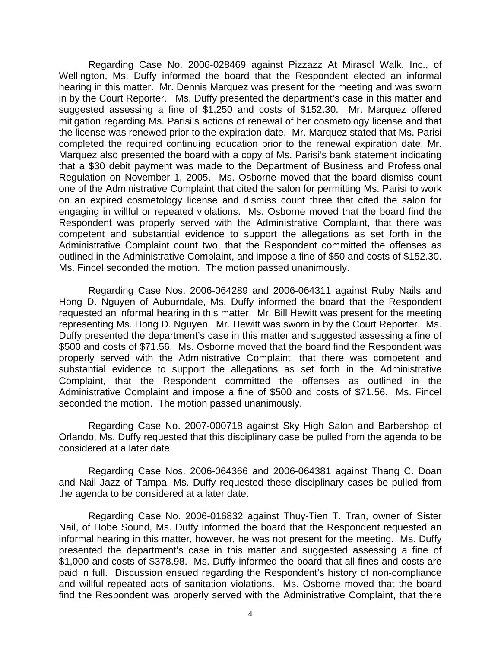Regarding Case No. 2006-028469 against Pizzazz At Mirasol Walk, Inc., of Wellington, Ms. Duffy informed the board that the Respondent elected an informal hearing in this matter. Mr. Dennis Marquez was present for the meeting and was sworn in by the Court Reporter. Ms. Duffy presented the department's case in this matter and suggested assessing a fine of \$1,250 and costs of \$152.30. Mr. Marquez offered mitigation regarding Ms. Parisi's actions of renewal of her cosmetology license and that the license was renewed prior to the expiration date. Mr. Marquez stated that Ms. Parisi completed the required continuing education prior to the renewal expiration date. Mr. Marquez also presented the board with a copy of Ms. Parisi's bank statement indicating that a \$30 debit payment was made to the Department of Business and Professional Regulation on November 1, 2005. Ms. Osborne moved that the board dismiss count one of the Administrative Complaint that cited the salon for permitting Ms. Parisi to work on an expired cosmetology license and dismiss count three that cited the salon for engaging in willful or repeated violations. Ms. Osborne moved that the board find the Respondent was properly served with the Administrative Complaint, that there was competent and substantial evidence to support the allegations as set forth in the Administrative Complaint count two, that the Respondent committed the offenses as outlined in the Administrative Complaint, and impose a fine of \$50 and costs of \$152.30. Ms. Fincel seconded the motion. The motion passed unanimously.

 Regarding Case Nos. 2006-064289 and 2006-064311 against Ruby Nails and Hong D. Nguyen of Auburndale, Ms. Duffy informed the board that the Respondent requested an informal hearing in this matter. Mr. Bill Hewitt was present for the meeting representing Ms. Hong D. Nguyen. Mr. Hewitt was sworn in by the Court Reporter. Ms. Duffy presented the department's case in this matter and suggested assessing a fine of \$500 and costs of \$71.56. Ms. Osborne moved that the board find the Respondent was properly served with the Administrative Complaint, that there was competent and substantial evidence to support the allegations as set forth in the Administrative Complaint, that the Respondent committed the offenses as outlined in the Administrative Complaint and impose a fine of \$500 and costs of \$71.56. Ms. Fincel seconded the motion. The motion passed unanimously.

 Regarding Case No. 2007-000718 against Sky High Salon and Barbershop of Orlando, Ms. Duffy requested that this disciplinary case be pulled from the agenda to be considered at a later date.

 Regarding Case Nos. 2006-064366 and 2006-064381 against Thang C. Doan and Nail Jazz of Tampa, Ms. Duffy requested these disciplinary cases be pulled from the agenda to be considered at a later date.

 Regarding Case No. 2006-016832 against Thuy-Tien T. Tran, owner of Sister Nail, of Hobe Sound, Ms. Duffy informed the board that the Respondent requested an informal hearing in this matter, however, he was not present for the meeting. Ms. Duffy presented the department's case in this matter and suggested assessing a fine of \$1,000 and costs of \$378.98. Ms. Duffy informed the board that all fines and costs are paid in full. Discussion ensued regarding the Respondent's history of non-compliance and willful repeated acts of sanitation violations. Ms. Osborne moved that the board find the Respondent was properly served with the Administrative Complaint, that there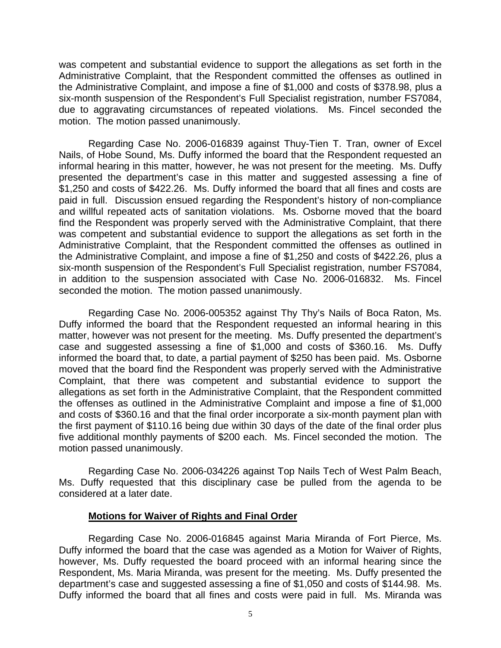was competent and substantial evidence to support the allegations as set forth in the Administrative Complaint, that the Respondent committed the offenses as outlined in the Administrative Complaint, and impose a fine of \$1,000 and costs of \$378.98, plus a six-month suspension of the Respondent's Full Specialist registration, number FS7084, due to aggravating circumstances of repeated violations. Ms. Fincel seconded the motion. The motion passed unanimously.

 Regarding Case No. 2006-016839 against Thuy-Tien T. Tran, owner of Excel Nails, of Hobe Sound, Ms. Duffy informed the board that the Respondent requested an informal hearing in this matter, however, he was not present for the meeting. Ms. Duffy presented the department's case in this matter and suggested assessing a fine of \$1,250 and costs of \$422.26. Ms. Duffy informed the board that all fines and costs are paid in full. Discussion ensued regarding the Respondent's history of non-compliance and willful repeated acts of sanitation violations. Ms. Osborne moved that the board find the Respondent was properly served with the Administrative Complaint, that there was competent and substantial evidence to support the allegations as set forth in the Administrative Complaint, that the Respondent committed the offenses as outlined in the Administrative Complaint, and impose a fine of \$1,250 and costs of \$422.26, plus a six-month suspension of the Respondent's Full Specialist registration, number FS7084, in addition to the suspension associated with Case No. 2006-016832. Ms. Fincel seconded the motion. The motion passed unanimously.

 Regarding Case No. 2006-005352 against Thy Thy's Nails of Boca Raton, Ms. Duffy informed the board that the Respondent requested an informal hearing in this matter, however was not present for the meeting. Ms. Duffy presented the department's case and suggested assessing a fine of \$1,000 and costs of \$360.16. Ms. Duffy informed the board that, to date, a partial payment of \$250 has been paid. Ms. Osborne moved that the board find the Respondent was properly served with the Administrative Complaint, that there was competent and substantial evidence to support the allegations as set forth in the Administrative Complaint, that the Respondent committed the offenses as outlined in the Administrative Complaint and impose a fine of \$1,000 and costs of \$360.16 and that the final order incorporate a six-month payment plan with the first payment of \$110.16 being due within 30 days of the date of the final order plus five additional monthly payments of \$200 each. Ms. Fincel seconded the motion. The motion passed unanimously.

 Regarding Case No. 2006-034226 against Top Nails Tech of West Palm Beach, Ms. Duffy requested that this disciplinary case be pulled from the agenda to be considered at a later date.

#### **Motions for Waiver of Rights and Final Order**

 Regarding Case No. 2006-016845 against Maria Miranda of Fort Pierce, Ms. Duffy informed the board that the case was agended as a Motion for Waiver of Rights, however, Ms. Duffy requested the board proceed with an informal hearing since the Respondent, Ms. Maria Miranda, was present for the meeting. Ms. Duffy presented the department's case and suggested assessing a fine of \$1,050 and costs of \$144.98. Ms. Duffy informed the board that all fines and costs were paid in full. Ms. Miranda was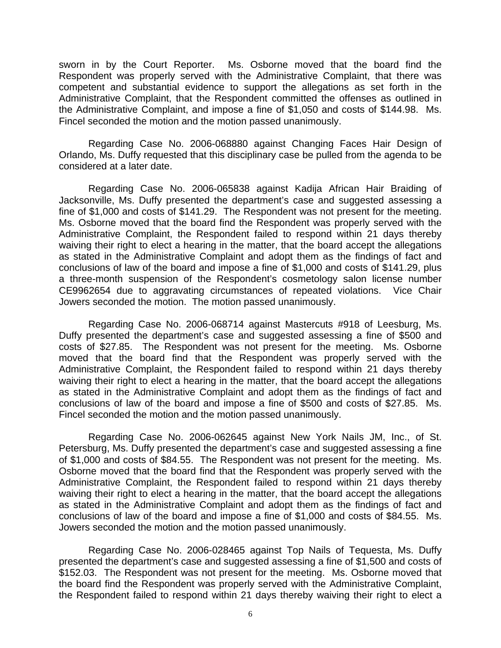sworn in by the Court Reporter. Ms. Osborne moved that the board find the Respondent was properly served with the Administrative Complaint, that there was competent and substantial evidence to support the allegations as set forth in the Administrative Complaint, that the Respondent committed the offenses as outlined in the Administrative Complaint, and impose a fine of \$1,050 and costs of \$144.98. Ms. Fincel seconded the motion and the motion passed unanimously.

 Regarding Case No. 2006-068880 against Changing Faces Hair Design of Orlando, Ms. Duffy requested that this disciplinary case be pulled from the agenda to be considered at a later date.

 Regarding Case No. 2006-065838 against Kadija African Hair Braiding of Jacksonville, Ms. Duffy presented the department's case and suggested assessing a fine of \$1,000 and costs of \$141.29. The Respondent was not present for the meeting. Ms. Osborne moved that the board find the Respondent was properly served with the Administrative Complaint, the Respondent failed to respond within 21 days thereby waiving their right to elect a hearing in the matter, that the board accept the allegations as stated in the Administrative Complaint and adopt them as the findings of fact and conclusions of law of the board and impose a fine of \$1,000 and costs of \$141.29, plus a three-month suspension of the Respondent's cosmetology salon license number CE9962654 due to aggravating circumstances of repeated violations. Vice Chair Jowers seconded the motion. The motion passed unanimously.

 Regarding Case No. 2006-068714 against Mastercuts #918 of Leesburg, Ms. Duffy presented the department's case and suggested assessing a fine of \$500 and costs of \$27.85. The Respondent was not present for the meeting. Ms. Osborne moved that the board find that the Respondent was properly served with the Administrative Complaint, the Respondent failed to respond within 21 days thereby waiving their right to elect a hearing in the matter, that the board accept the allegations as stated in the Administrative Complaint and adopt them as the findings of fact and conclusions of law of the board and impose a fine of \$500 and costs of \$27.85. Ms. Fincel seconded the motion and the motion passed unanimously.

 Regarding Case No. 2006-062645 against New York Nails JM, Inc., of St. Petersburg, Ms. Duffy presented the department's case and suggested assessing a fine of \$1,000 and costs of \$84.55. The Respondent was not present for the meeting. Ms. Osborne moved that the board find that the Respondent was properly served with the Administrative Complaint, the Respondent failed to respond within 21 days thereby waiving their right to elect a hearing in the matter, that the board accept the allegations as stated in the Administrative Complaint and adopt them as the findings of fact and conclusions of law of the board and impose a fine of \$1,000 and costs of \$84.55. Ms. Jowers seconded the motion and the motion passed unanimously.

 Regarding Case No. 2006-028465 against Top Nails of Tequesta, Ms. Duffy presented the department's case and suggested assessing a fine of \$1,500 and costs of \$152.03. The Respondent was not present for the meeting. Ms. Osborne moved that the board find the Respondent was properly served with the Administrative Complaint, the Respondent failed to respond within 21 days thereby waiving their right to elect a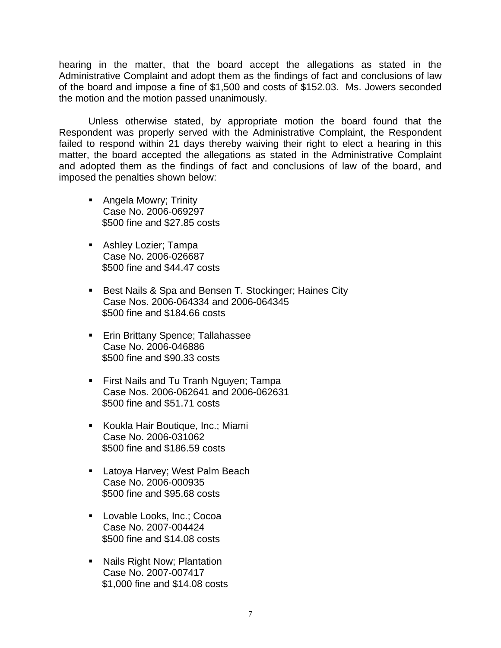hearing in the matter, that the board accept the allegations as stated in the Administrative Complaint and adopt them as the findings of fact and conclusions of law of the board and impose a fine of \$1,500 and costs of \$152.03. Ms. Jowers seconded the motion and the motion passed unanimously.

 Unless otherwise stated, by appropriate motion the board found that the Respondent was properly served with the Administrative Complaint, the Respondent failed to respond within 21 days thereby waiving their right to elect a hearing in this matter, the board accepted the allegations as stated in the Administrative Complaint and adopted them as the findings of fact and conclusions of law of the board, and imposed the penalties shown below:

- **Angela Mowry; Trinity** Case No. 2006-069297 \$500 fine and \$27.85 costs
- **Ashley Lozier; Tampa** Case No. 2006-026687 \$500 fine and \$44.47 costs
- Best Nails & Spa and Bensen T. Stockinger; Haines City Case Nos. 2006-064334 and 2006-064345 \$500 fine and \$184.66 costs
- **Erin Brittany Spence; Tallahassee** Case No. 2006-046886 \$500 fine and \$90.33 costs
- **First Nails and Tu Tranh Nguyen; Tampa** Case Nos. 2006-062641 and 2006-062631 \$500 fine and \$51.71 costs
- Koukla Hair Boutique, Inc.; Miami Case No. 2006-031062 \$500 fine and \$186.59 costs
- **Latoya Harvey; West Palm Beach** Case No. 2006-000935 \$500 fine and \$95.68 costs
- **Lovable Looks, Inc.; Cocoa** Case No. 2007-004424 \$500 fine and \$14.08 costs
- **Nails Right Now; Plantation** Case No. 2007-007417 \$1,000 fine and \$14.08 costs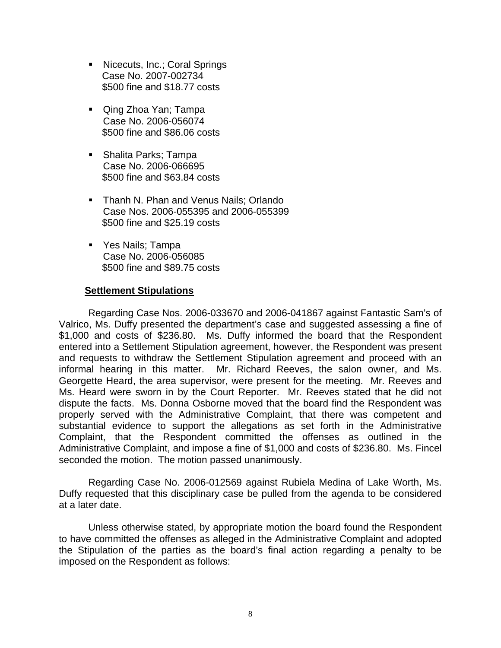- Nicecuts, Inc.; Coral Springs Case No. 2007-002734 \$500 fine and \$18.77 costs
- **Qing Zhoa Yan; Tampa** Case No. 2006-056074 \$500 fine and \$86.06 costs
- Shalita Parks; Tampa Case No. 2006-066695 \$500 fine and \$63.84 costs
- Thanh N. Phan and Venus Nails; Orlando Case Nos. 2006-055395 and 2006-055399 \$500 fine and \$25.19 costs
- Yes Nails; Tampa Case No. 2006-056085 \$500 fine and \$89.75 costs

## **Settlement Stipulations**

 Regarding Case Nos. 2006-033670 and 2006-041867 against Fantastic Sam's of Valrico, Ms. Duffy presented the department's case and suggested assessing a fine of \$1,000 and costs of \$236.80. Ms. Duffy informed the board that the Respondent entered into a Settlement Stipulation agreement, however, the Respondent was present and requests to withdraw the Settlement Stipulation agreement and proceed with an informal hearing in this matter. Mr. Richard Reeves, the salon owner, and Ms. Georgette Heard, the area supervisor, were present for the meeting. Mr. Reeves and Ms. Heard were sworn in by the Court Reporter. Mr. Reeves stated that he did not dispute the facts. Ms. Donna Osborne moved that the board find the Respondent was properly served with the Administrative Complaint, that there was competent and substantial evidence to support the allegations as set forth in the Administrative Complaint, that the Respondent committed the offenses as outlined in the Administrative Complaint, and impose a fine of \$1,000 and costs of \$236.80. Ms. Fincel seconded the motion. The motion passed unanimously.

 Regarding Case No. 2006-012569 against Rubiela Medina of Lake Worth, Ms. Duffy requested that this disciplinary case be pulled from the agenda to be considered at a later date.

 Unless otherwise stated, by appropriate motion the board found the Respondent to have committed the offenses as alleged in the Administrative Complaint and adopted the Stipulation of the parties as the board's final action regarding a penalty to be imposed on the Respondent as follows: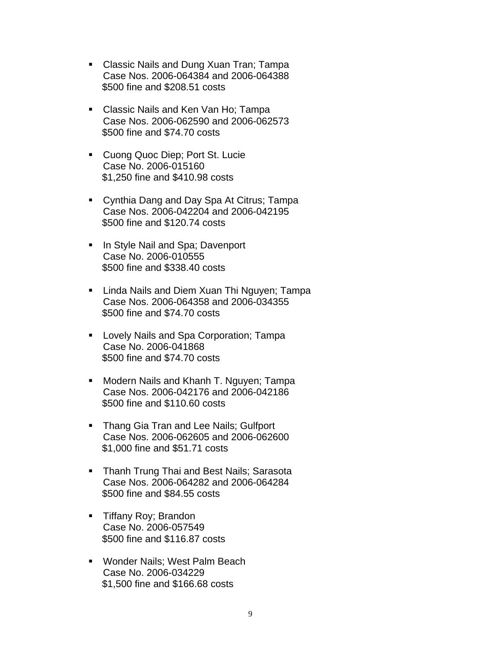- Classic Nails and Dung Xuan Tran; Tampa Case Nos. 2006-064384 and 2006-064388 \$500 fine and \$208.51 costs
- **Classic Nails and Ken Van Ho; Tampa** Case Nos. 2006-062590 and 2006-062573 \$500 fine and \$74.70 costs
- **Cuong Quoc Diep; Port St. Lucie** Case No. 2006-015160 \$1,250 fine and \$410.98 costs
- Cynthia Dang and Day Spa At Citrus; Tampa Case Nos. 2006-042204 and 2006-042195 \$500 fine and \$120.74 costs
- **IF In Style Nail and Spa; Davenport** Case No. 2006-010555 \$500 fine and \$338.40 costs
- **E** Linda Nails and Diem Xuan Thi Nguyen; Tampa Case Nos. 2006-064358 and 2006-034355 \$500 fine and \$74.70 costs
- **Lovely Nails and Spa Corporation; Tampa** Case No. 2006-041868 \$500 fine and \$74.70 costs
- **Modern Nails and Khanh T. Nguyen; Tampa** Case Nos. 2006-042176 and 2006-042186 \$500 fine and \$110.60 costs
- **Thang Gia Tran and Lee Nails; Gulfport** Case Nos. 2006-062605 and 2006-062600 \$1,000 fine and \$51.71 costs
- **Thanh Trung Thai and Best Nails; Sarasota** Case Nos. 2006-064282 and 2006-064284 \$500 fine and \$84.55 costs
- **Tiffany Roy; Brandon** Case No. 2006-057549 \$500 fine and \$116.87 costs
- Wonder Nails; West Palm Beach Case No. 2006-034229 \$1,500 fine and \$166.68 costs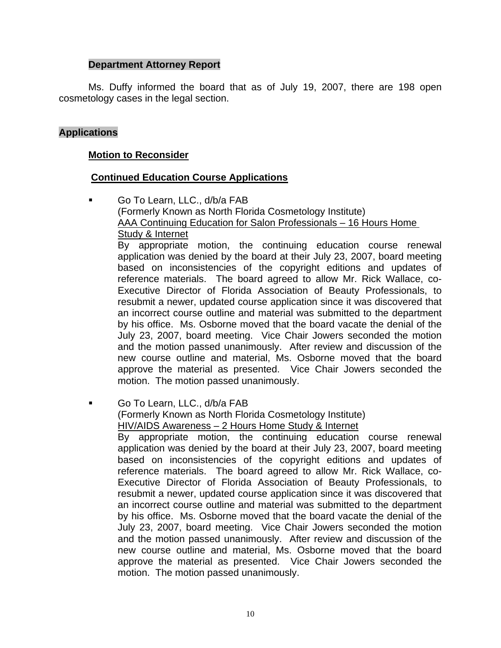## **Department Attorney Report**

Ms. Duffy informed the board that as of July 19, 2007, there are 198 open cosmetology cases in the legal section.

## **Applications**

### **Motion to Reconsider**

### **Continued Education Course Applications**

 Go To Learn, LLC., d/b/a FAB (Formerly Known as North Florida Cosmetology Institute) AAA Continuing Education for Salon Professionals – 16 Hours Home Study & Internet By appropriate motion, the continuing education course renewal application was denied by the board at their July 23, 2007, board meeting based on inconsistencies of the copyright editions and updates of reference materials. The board agreed to allow Mr. Rick Wallace, co-

Executive Director of Florida Association of Beauty Professionals, to resubmit a newer, updated course application since it was discovered that an incorrect course outline and material was submitted to the department by his office. Ms. Osborne moved that the board vacate the denial of the July 23, 2007, board meeting. Vice Chair Jowers seconded the motion and the motion passed unanimously. After review and discussion of the new course outline and material, Ms. Osborne moved that the board approve the material as presented. Vice Chair Jowers seconded the motion. The motion passed unanimously.

Go To Learn, LLC., d/b/a FAB

(Formerly Known as North Florida Cosmetology Institute)

HIV/AIDS Awareness – 2 Hours Home Study & Internet

By appropriate motion, the continuing education course renewal application was denied by the board at their July 23, 2007, board meeting based on inconsistencies of the copyright editions and updates of reference materials. The board agreed to allow Mr. Rick Wallace, co-Executive Director of Florida Association of Beauty Professionals, to resubmit a newer, updated course application since it was discovered that an incorrect course outline and material was submitted to the department by his office. Ms. Osborne moved that the board vacate the denial of the July 23, 2007, board meeting. Vice Chair Jowers seconded the motion and the motion passed unanimously. After review and discussion of the new course outline and material, Ms. Osborne moved that the board approve the material as presented. Vice Chair Jowers seconded the motion. The motion passed unanimously.